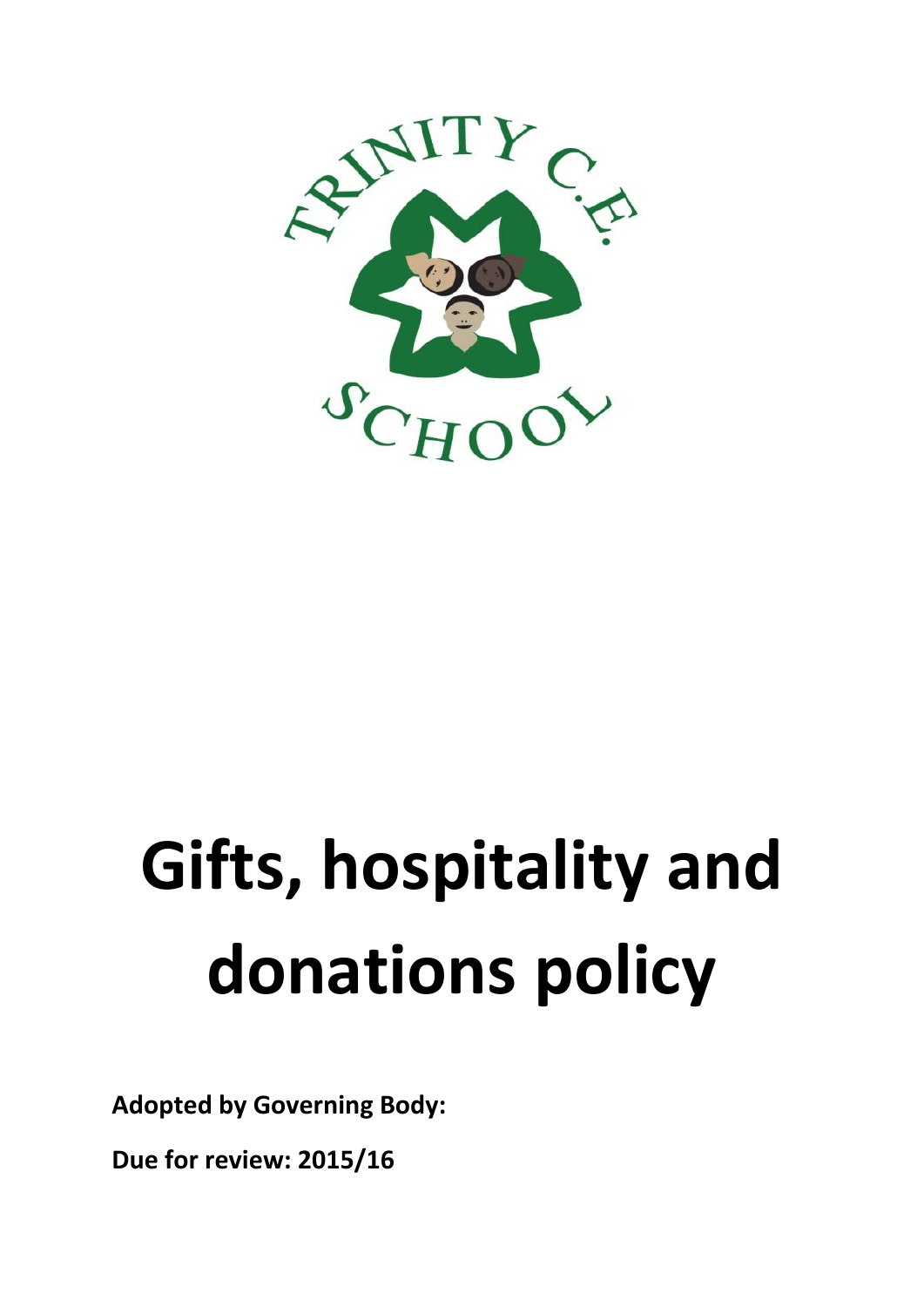

# **Gifts, hospitality and donations policy**

**Adopted by Governing Body:** 

**Due for review: 2015/16**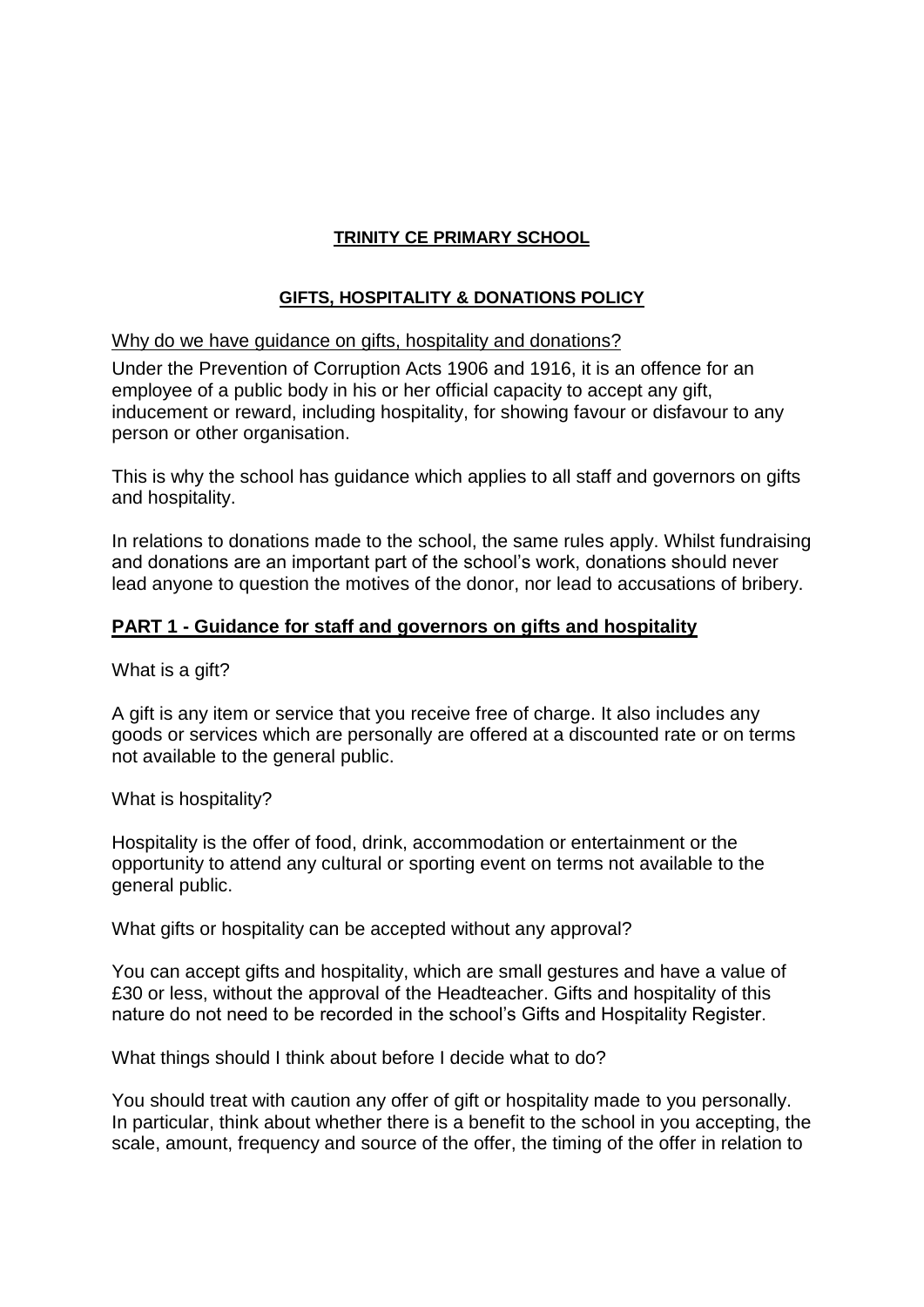# **TRINITY CE PRIMARY SCHOOL**

### **GIFTS, HOSPITALITY & DONATIONS POLICY**

### Why do we have guidance on gifts, hospitality and donations?

Under the Prevention of Corruption Acts 1906 and 1916, it is an offence for an employee of a public body in his or her official capacity to accept any gift, inducement or reward, including hospitality, for showing favour or disfavour to any person or other organisation.

This is why the school has guidance which applies to all staff and governors on gifts and hospitality.

In relations to donations made to the school, the same rules apply. Whilst fundraising and donations are an important part of the school's work, donations should never lead anyone to question the motives of the donor, nor lead to accusations of bribery.

### **PART 1 - Guidance for staff and governors on gifts and hospitality**

What is a gift?

A gift is any item or service that you receive free of charge. It also includes any goods or services which are personally are offered at a discounted rate or on terms not available to the general public.

What is hospitality?

Hospitality is the offer of food, drink, accommodation or entertainment or the opportunity to attend any cultural or sporting event on terms not available to the general public.

What gifts or hospitality can be accepted without any approval?

You can accept gifts and hospitality, which are small gestures and have a value of £30 or less, without the approval of the Headteacher. Gifts and hospitality of this nature do not need to be recorded in the school's Gifts and Hospitality Register.

What things should I think about before I decide what to do?

You should treat with caution any offer of gift or hospitality made to you personally. In particular, think about whether there is a benefit to the school in you accepting, the scale, amount, frequency and source of the offer, the timing of the offer in relation to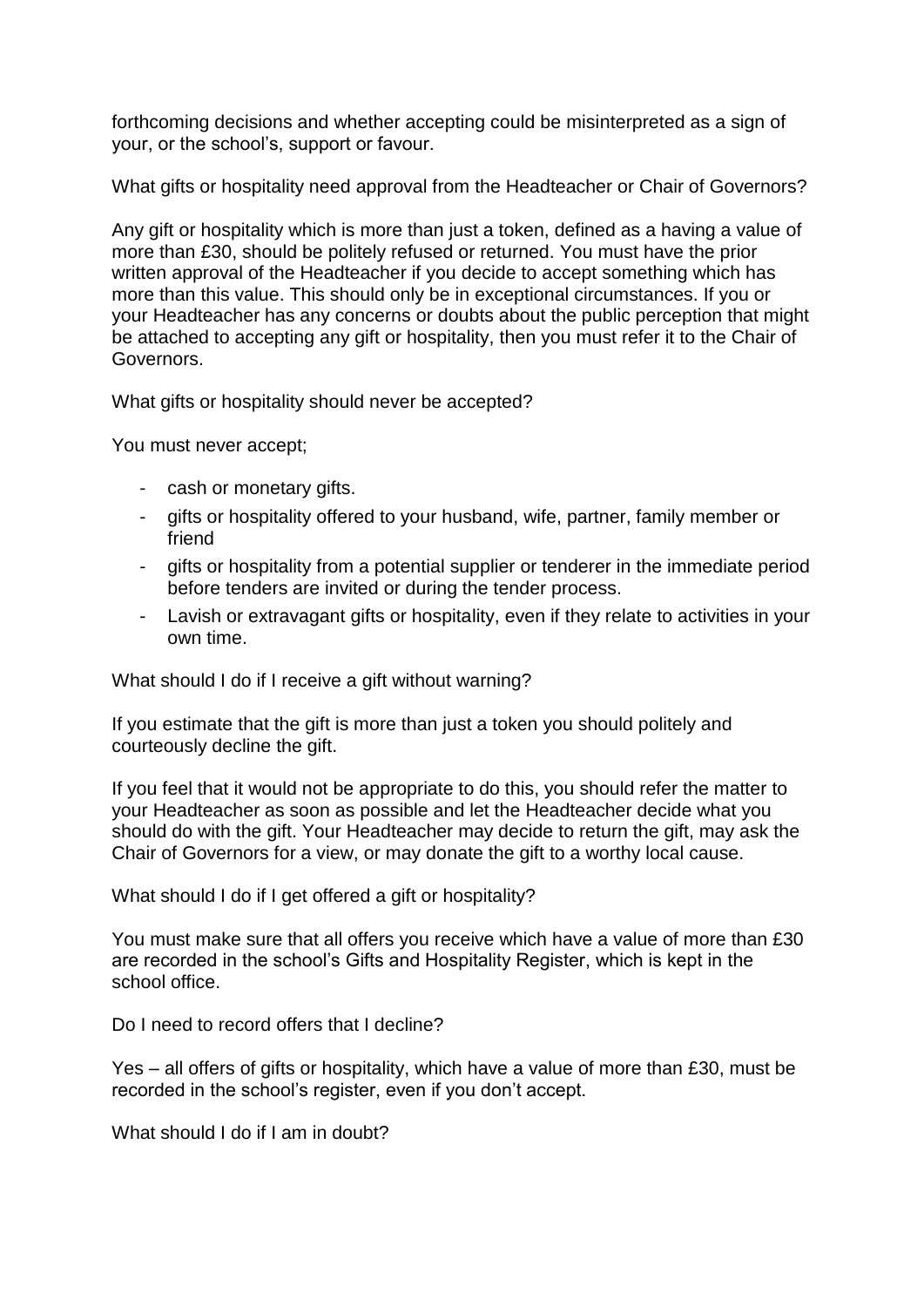forthcoming decisions and whether accepting could be misinterpreted as a sign of your, or the school's, support or favour.

What gifts or hospitality need approval from the Headteacher or Chair of Governors?

Any gift or hospitality which is more than just a token, defined as a having a value of more than £30, should be politely refused or returned. You must have the prior written approval of the Headteacher if you decide to accept something which has more than this value. This should only be in exceptional circumstances. If you or your Headteacher has any concerns or doubts about the public perception that might be attached to accepting any gift or hospitality, then you must refer it to the Chair of Governors.

What gifts or hospitality should never be accepted?

You must never accept;

- cash or monetary gifts.
- gifts or hospitality offered to your husband, wife, partner, family member or friend
- gifts or hospitality from a potential supplier or tenderer in the immediate period before tenders are invited or during the tender process.
- Lavish or extravagant gifts or hospitality, even if they relate to activities in your own time.

What should I do if I receive a gift without warning?

If you estimate that the gift is more than just a token you should politely and courteously decline the gift.

If you feel that it would not be appropriate to do this, you should refer the matter to your Headteacher as soon as possible and let the Headteacher decide what you should do with the gift. Your Headteacher may decide to return the gift, may ask the Chair of Governors for a view, or may donate the gift to a worthy local cause.

What should I do if I get offered a gift or hospitality?

You must make sure that all offers you receive which have a value of more than £30 are recorded in the school's Gifts and Hospitality Register, which is kept in the school office.

Do I need to record offers that I decline?

Yes – all offers of gifts or hospitality, which have a value of more than £30, must be recorded in the school's register, even if you don't accept.

What should I do if I am in doubt?